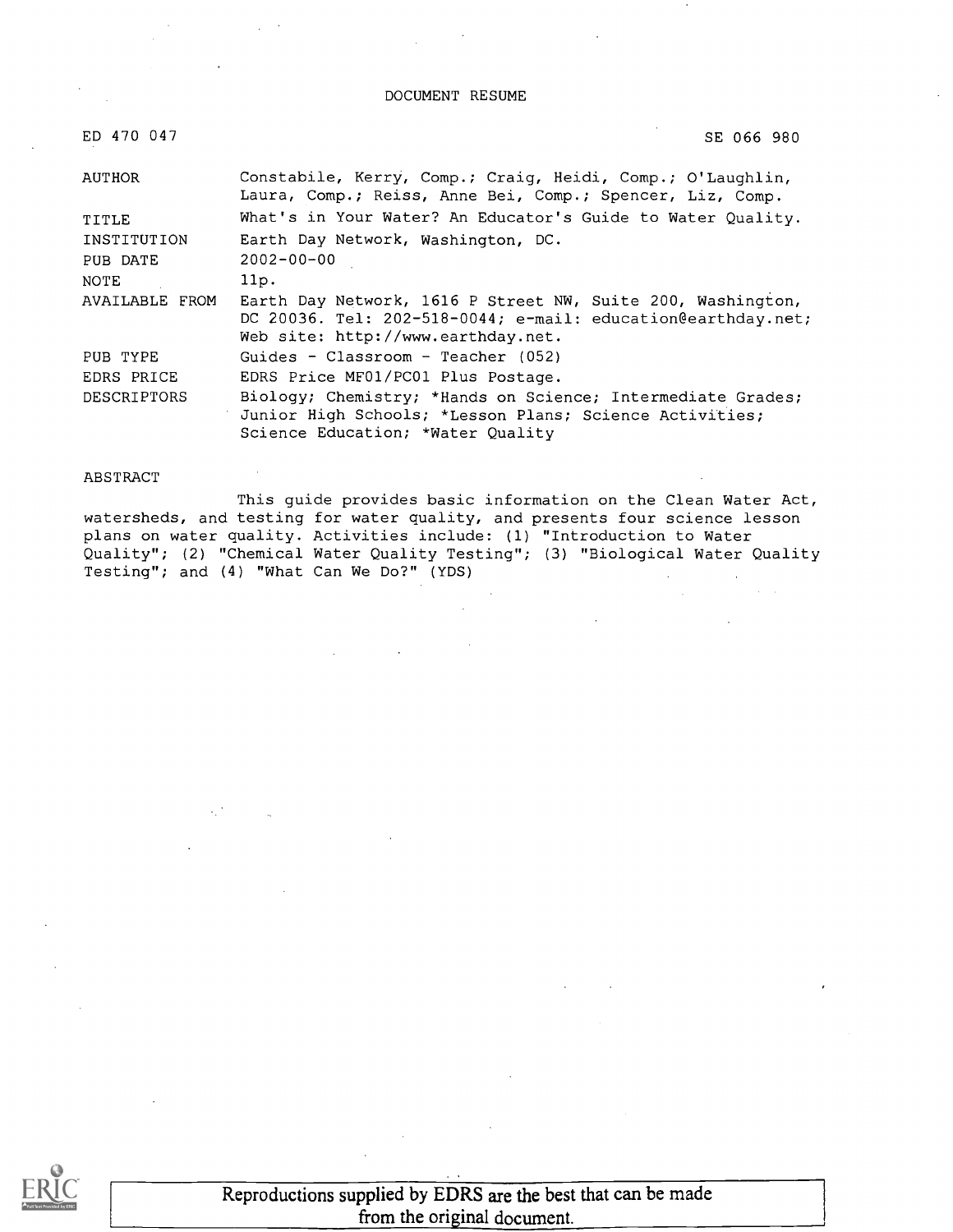DOCUMENT RESUME

| ED 470 047         | SE 066 980                                                                                                                                                        |
|--------------------|-------------------------------------------------------------------------------------------------------------------------------------------------------------------|
| AUTHOR             | Constabile, Kerry, Comp.; Craig, Heidi, Comp.; O'Laughlin,<br>Laura, Comp.; Reiss, Anne Bei, Comp.; Spencer, Liz, Comp.                                           |
| TITLE              | What's in Your Water? An Educator's Guide to Water Quality.                                                                                                       |
| INSTITUTION        | Earth Day Network, Washington, DC.                                                                                                                                |
| PUB DATE           | $2002 - 00 - 00$                                                                                                                                                  |
| NOTE               | 11p.                                                                                                                                                              |
| AVAILABLE FROM     | Earth Day Network, 1616 P Street NW, Suite 200, Washington,<br>DC 20036. Tel: 202-518-0044; e-mail: education@earthday.net;<br>Web site: http://www.earthday.net. |
| PUB TYPE           | Guides - Classroom - Teacher $(052)$                                                                                                                              |
| EDRS PRICE         | EDRS Price MF01/PC01 Plus Postage.                                                                                                                                |
| <b>DESCRIPTORS</b> | Biology; Chemistry; *Hands on Science; Intermediate Grades;<br>Junior High Schools; *Lesson Plans; Science Activities;<br>Science Education; *Water Quality       |

#### ABSTRACT

This guide provides basic information on the Clean Water Act, watersheds, and testing for water quality, and presents four science lesson plans on water quality. Activities include: (1) "Introduction to Water Quality"; (2) "Chemical Water Quality Testing"; (3) "Biological Water Quality Testing"; and (4) "What Can We Do?" (YDS)



Reproductions supplied by EDRS are the best that can be made from the original document.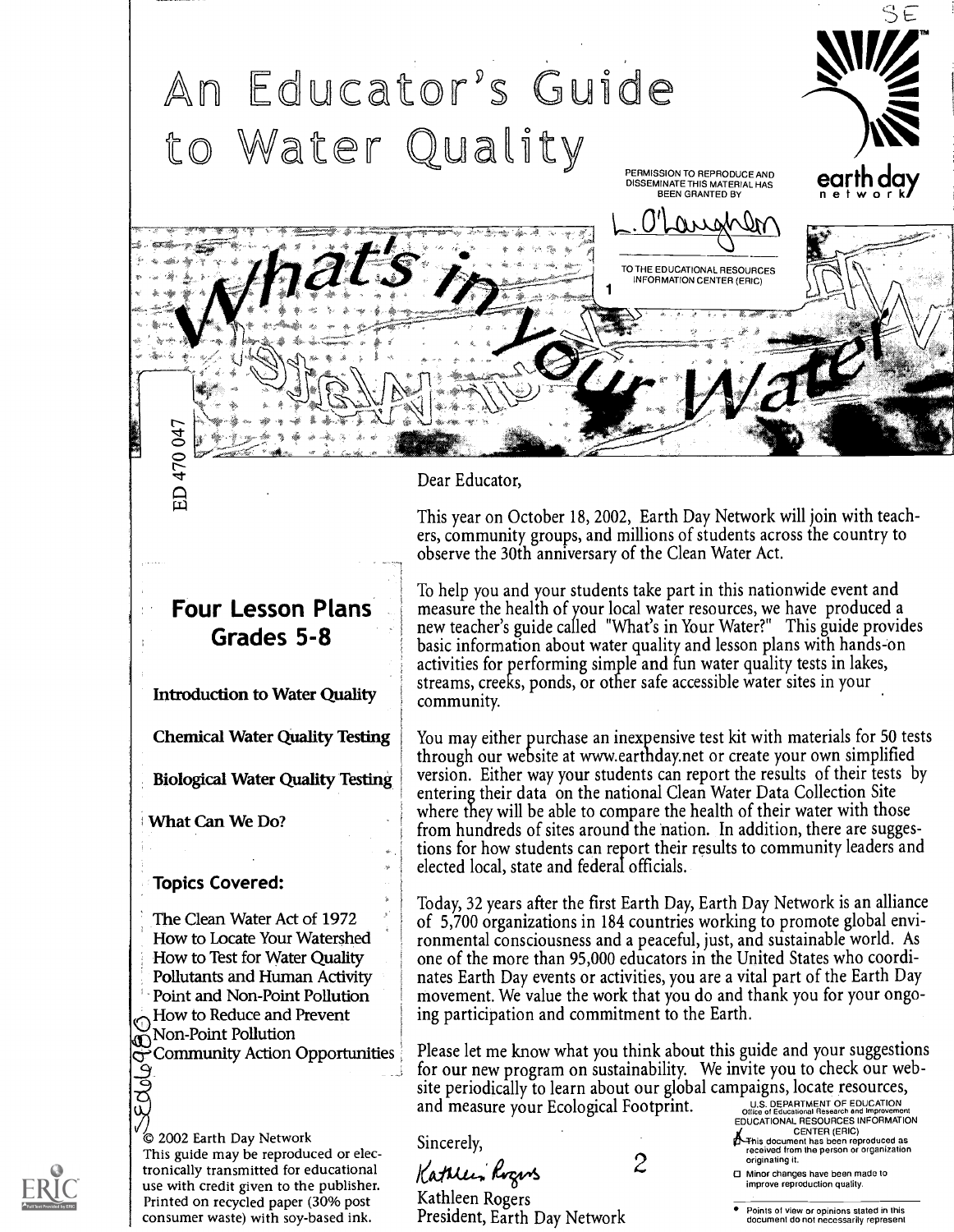

Dear Educator,

Sincerely,

Kathleen Rogers

President, Earth Day Network

This year on October 18, 2002, Earth Day Network will join with teachers, community groups, and millions of students across the country to observe the 30th anniversary of the Clean Water Act.

To help you and your students take part in this nationwide event and measure the health of your local water resources, we have produced a new teacher's guide called "What's in Your Water?" This guide provides basic information about water quality and lesson plans with hands-on activities for performing simple and fun water quality tests in lakes, streams, creeks, ponds, or other safe accessible water sites in your community.

elected local, state and federal officials. You may either purchase an inexpensive test kit with materials for 50 tests through our website at www.earthday.net or create your own simplified version. Either way your students can report the results of their tests by entering their data on the national Clean Water Data Collection Site where they will be able to compare the health of their water with those from hundreds of sites around the nation. In addition, there are suggestions for how students can report their results to community leaders and

Today, 32 years after the first Earth Day, Earth Day Network is an alliance of 5,700 organizations in 184 countries working to promote global environmental consciousness and a peaceful, just, and sustainable world. As one of the more than 95,000 educators in the United States who coordinates Earth Day events or activities, you are a vital part of the Earth Day movement. We value the work that you do and thank you for your ongoing participation and commitment to the Earth.

Please let me know what you think about this guide and your suggestions for our new program on sustainability. We invite you to check our website periodically to learn about our global campaigns, locate resources, and measure your Ecological Footprint.

THE THE SUIT CHARGE OF THE SUIT CHARGE OF THE SUIT CHARGE OF THE SUIT CHARGE OF THE SUIT CHARGE OF THE SUIT CHARGE OF THE SUIT CHARGE OF THE SUIT CHARGE OF THE SUIT CHARGE OF THE SUIT CHARGE OF THE SUIT CHARGE OF THE SUIT

CENTER (ERIC)<br>This document has been reproduced as<br>received from the person or organization<br>originating it.

2 Minor changes have been made to improve reproduction quality.

Points of view or opinions stated in this document do not necessarily represent

### Four Lesson Plans Grades 5-8

Introduction to Water Quality

Chemical Water Quality Testing

Biological Water Quality Testing

What Can We Do?

Topics Covered:

The Clean Water Act of 1972 How to Locate Your Watershed How to Test for Water Quality Pollutants and Human Activity Point and Non-Point Pollution How to Reduce and Prevent Non-Point Pollution Community Action Opportunities

2002 Earth Day Network This guide may be reproduced or electronically transmitted for educational Kattle, Rogers use with credit given to the publisher. Printed on recycled paper (30% post consumer waste) with soy-based ink.

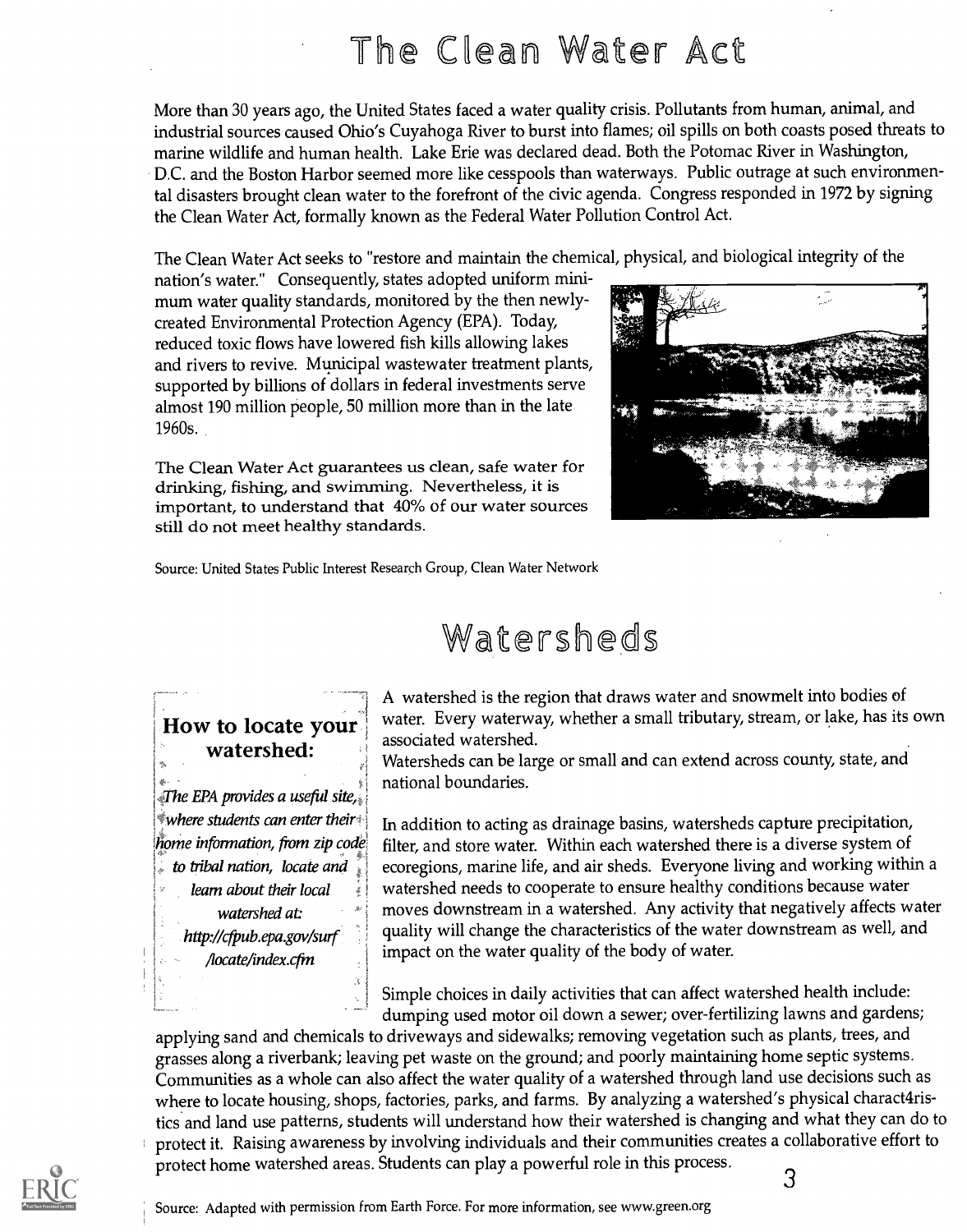# The Clean Water Act

More than 30 years ago, the United States faced a water quality crisis. Pollutants from human, animal, and industrial sources caused Ohio's Cuyahoga River to burst into flames; oil spills on both coasts posed threats to marine wildlife and human health. Lake Erie was declared dead. Both the Potomac River in Washington, D.C. and the Boston Harbor seemed more like cesspools than waterways. Public outrage at such environmental disasters brought clean water to the forefront of the civic agenda. Congress responded in 1972 by signing the Clean Water Act, formally known as the Federal Water Pollution Control Act.

The Clean Water Act seeks to "restore and maintain the chemical, physical, and biological integrity of the

nation's water." Consequently, states adopted uniform minimum water quality standards, monitored by the then newlycreated Environmental Protection Agency (EPA). Today, reduced toxic flows have lowered fish kills allowing lakes and rivers to revive. Municipal wastewater treatment plants, supported by billions of dollars in federal investments serve almost 190 million people, 50 million more than in the late 1960s.

The Clean Water Act guarantees us clean, safe water for drinking, fishing, and swimming. Nevertheless, it is important, to understand that 40% of our water sources still do not meet healthy standards.



Source: United States Public Interest Research Group, Clean Water Network

## Watersheds

### How to locate your watershed:

The EPA provides a useful site,  $^*$ where students can enter their $^*$ home information, from zip code to tribal nation, locate and learn about their local watershed at http://cfpub.epa.gov/surf /locate/index.cfm

A watershed is the region that draws water and snowmelt into bodies of water. Every waterway, whether a small tributary, stream, or lake, has its own associated watershed.

Watersheds can be large or small and can extend across county, state, and national boundaries.

In addition to acting as drainage basins, watersheds capture precipitation, filter, and store water. Within each watershed there is a diverse system of ecoregions, marine life, and air sheds. Everyone living and working within a watershed needs to cooperate to ensure healthy conditions because water moves downstream in a watershed. Any activity that negatively affects water quality will change the characteristics of the water downstream as well, and impact on the water quality of the body of water.

Simple choices in daily activities that can affect watershed health include: dumping used motor oil down a sewer; over-fertilizing lawns and gardens;

applying sand and chemicals to driveways and sidewalks; removing vegetation such as plants, trees, and grasses along a riverbank; leaving pet waste on the ground; and poorly maintaining home septic systems. Communities as a whole can also affect the water quality of a watershed through land use decisions such as where to locate housing, shops, factories, parks, and farms. By analyzing a watershed's physical charact4ristics and land use patterns, students will understand how their watershed is changing and what they can do to protect it. Raising awareness by involving individuals and their communities creates a collaborative effort to protect home watershed areas. Students can play a powerful role in this process.

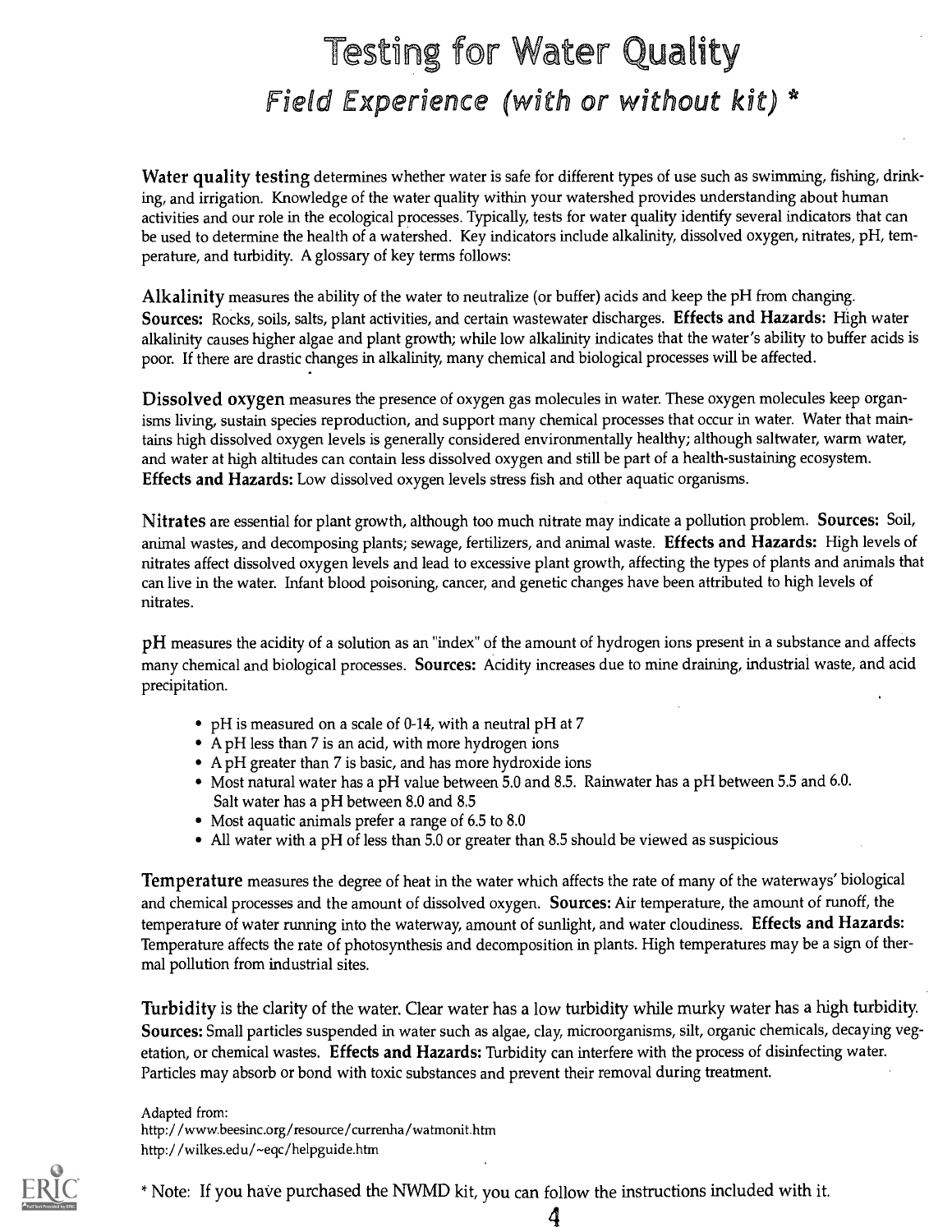# Testing for Water Quality Field Experience (with or without kit)  $*$

Water quality testing determines whether water is safe for different types of use such as swimming, fishing, drinking, and irrigation. Knowledge of the water quality within your watershed provides understanding about human activities and our role in the ecological processes. Typically, tests for water quality identify several indicators that can be used to determine the health of a watershed. Key indicators include alkalinity, dissolved oxygen, nitrates, pH, temperature, and turbidity. A glossary of key terms follows:

Alkalinity measures the ability of the water to neutralize (or buffer) acids and keep the pH from changing. Sources: Rocks, soils, salts, plant activities, and certain wastewater discharges. Effects and Hazards: High water alkalinity causes higher algae and plant growth; while low alkalinity indicates that the water's ability to buffer acids is poor. If there are drastic changes in alkalinity, many chemical and biological processes will be affected.

Dissolved oxygen measures the presence of oxygen gas molecules in water. These oxygen molecules keep organisms living, sustain species reproduction, and support many chemical processes that occur in water. Water that maintains high dissolved oxygen levels is generally considered environmentally healthy; although saltwater, warm water, and water at high altitudes can contain less dissolved oxygen and still be part of a health-sustaining ecosystem. Effects and Hazards: Low dissolved oxygen levels stress fish and other aquatic organisms.

Nitrates are essential for plant growth, although too much nitrate may indicate a pollution problem. Sources: Soil, animal wastes, and decomposing plants; sewage, fertilizers, and animal waste. Effects and Hazards: High levels of nitrates affect dissolved oxygen levels and lead to excessive plant growth, affecting the types of plants and animals that can live in the water. Infant blood poisoning, cancer, and genetic changes have been attributed to high levels of nitrates.

pH measures the acidity of a solution as an "index" of the amount of hydrogen ions present in a substance and affects many chemical and biological processes. Sources: Acidity increases due to mine draining, industrial waste, and acid precipitation.

- pH is measured on a scale of 0-14, with a neutral pH at 7
- A pH less than 7 is an acid, with more hydrogen ions
- A pH greater than 7 is basic, and has more hydroxide ions
- Most natural water has a pH value between 5.0 and 8.5. Rainwater has a pH between 5.5 and 6.0. Salt water has a pH between 8.0 and 8.5
- Most aquatic animals prefer a range of 6.5 to 8.0
- All water with a pH of less than 5.0 or greater than 8.5 should be viewed as suspicious

Temperature measures the degree of heat in the water which affects the rate of many of the waterways' biological and chemical processes and the amount of dissolved oxygen. Sources: Air temperature, the amount of runoff, the temperature of water running into the waterway, amount of sunlight, and water cloudiness. Effects and Hazards: Temperature affects the rate of photosynthesis and decomposition in plants. High temperatures may be a sign of thermal pollution from industrial sites.

Turbidity is the clarity of the water. Clear water has a low turbidity while murky water has a high turbidity. Sources: Small particles suspended in water such as algae, clay, microorganisms, silt, organic chemicals, decaying vegetation, or chemical wastes. Effects and Hazards: Turbidity can interfere with the process of disinfecting water. Particles may absorb or bond with toxic substances and prevent their removal during treatment.

Adapted from: http://www.beesinc.org/resource/currenha/watmonit.htm http://wilkes.edu/~eqc/helpguide.htm



\* Note: If you have purchased the NWMD kit, you can follow the instructions included with it.

4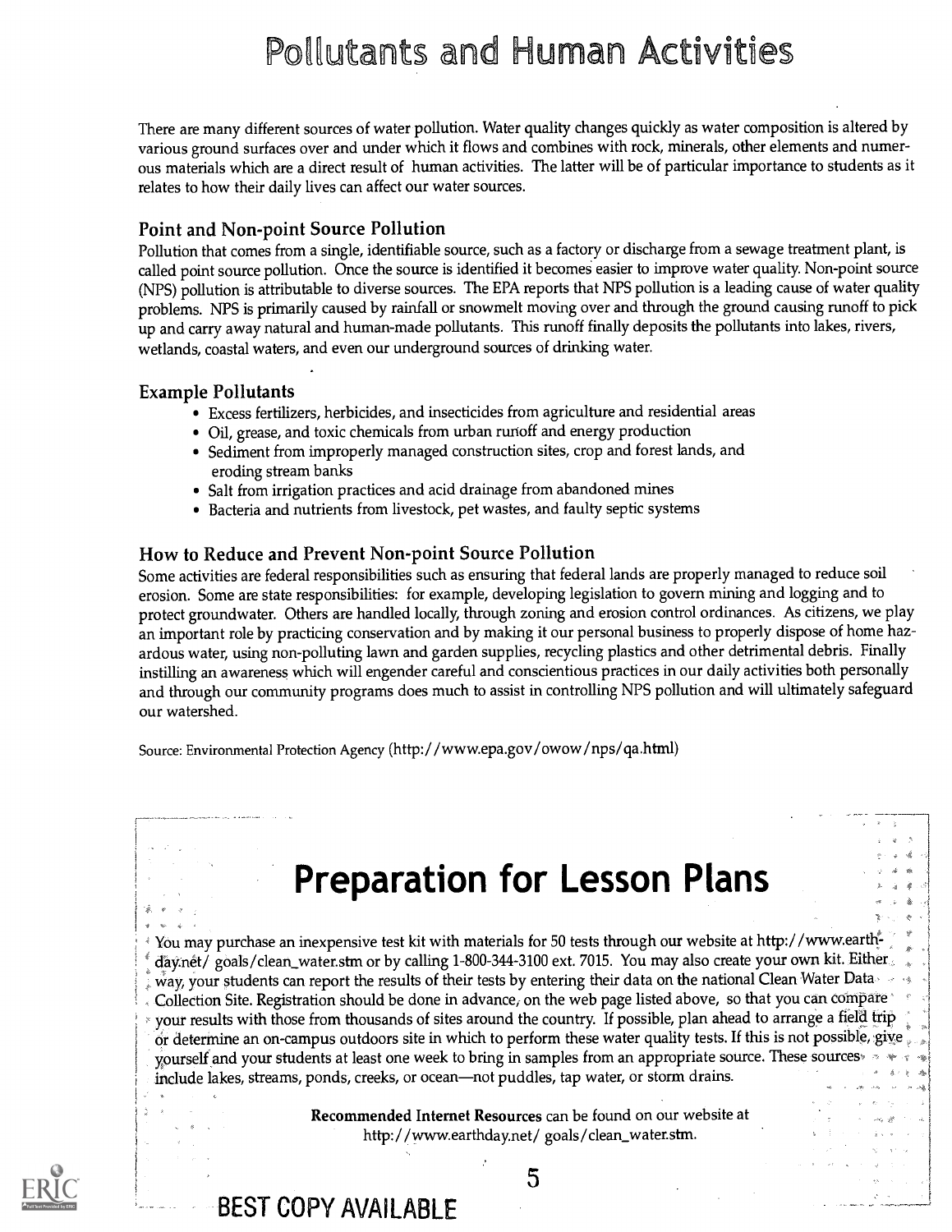# Pollutants and Human Activities

There are many different sources of water pollution. Water quality changes quickly as water composition is altered by various ground surfaces over and under which it flows and combines with rock, minerals, other elements and numerous materials which are a direct result of human activities. The latter will be of particular importance to students as it relates to how their daily lives can affect our water sources.

#### Point and Non-point Source Pollution

Pollution that comes from a single, identifiable source, such as a factory or discharge from a sewage treatment plant, is called point source pollution. Once the source is identified it becomes easier to improve water quality. Non-point source (NPS) pollution is attributable to diverse sources. The EPA reports that NPS pollution is a leading cause of water quality problems. NPS is primarily caused by rainfall or snowmelt moving over and through the ground causing runoff to pick up and carry away natural and human-made pollutants. This runoff finally deposits the pollutants into lakes, rivers, wetlands, coastal waters, and even our underground sources of drinking water.

#### Example Pollutants

- Excess fertilizers, herbicides, and insecticides from agriculture and residential areas
- Oil, grease, and toxic chemicals from urban runoff and energy production
- Sediment from improperly managed construction sites, crop and forest lands, and eroding stream banks
- Salt from irrigation practices and acid drainage from abandoned mines
- Bacteria and nutrients from livestock, pet wastes, and faulty septic systems

#### How to Reduce and Prevent Non-point Source Pollution

BEST COPY AVAILABLE

Some activities are federal responsibilities such as ensuring that federal lands are properly managed to reduce soil erosion. Some are state responsibilities: for example, developing legislation to govern mining and logging and to protect groundwater. Others are handled locally, through zoning and erosion control ordinances. As citizens, we play an important role by practicing conservation and by making it our personal business to properly dispose of home hazardous water, using non-polluting lawn and garden supplies, recycling plastics and other detrimental debris. Finally instilling an awareness which will engender careful and conscientious practices in our daily activities both personally and through our community programs does much to assist in controlling NPS pollution and will ultimately safeguard our watershed.

Source: Environmental Protection Agency ( http: / /www.epa.gov /owow /nps /ga.html)

# Preparation for Lesson Plans

You may purchase an inexpensive test kit with materials for 50 tests through our website at http://www.earthdaynet/ goals/clean\_water.stm or by calling 1-800-344-3100 ext. 7015. You may also create your own kit. Either way, your students can report the results of their tests by entering their data on the national Clean Water Data Collection Site. Registration should be done in advance, on the web page listed above, so that you can compare your results with those from thousands of sites around the country. If possible, plan ahead to arrange a field trip or determine an on-campus outdoors site in which to perform these water quality tests.If this is not possible, give yourself and your students at least one week to bring in samples from an appropriate source. These sources include lakes, streams, ponds, creeks, or ocean—not puddles, tap water, or storm drains.

> Recommended Internet Resources can be found on our website at http: / /www.earthdaynet/ goals /clean\_water.stm.

> > 5

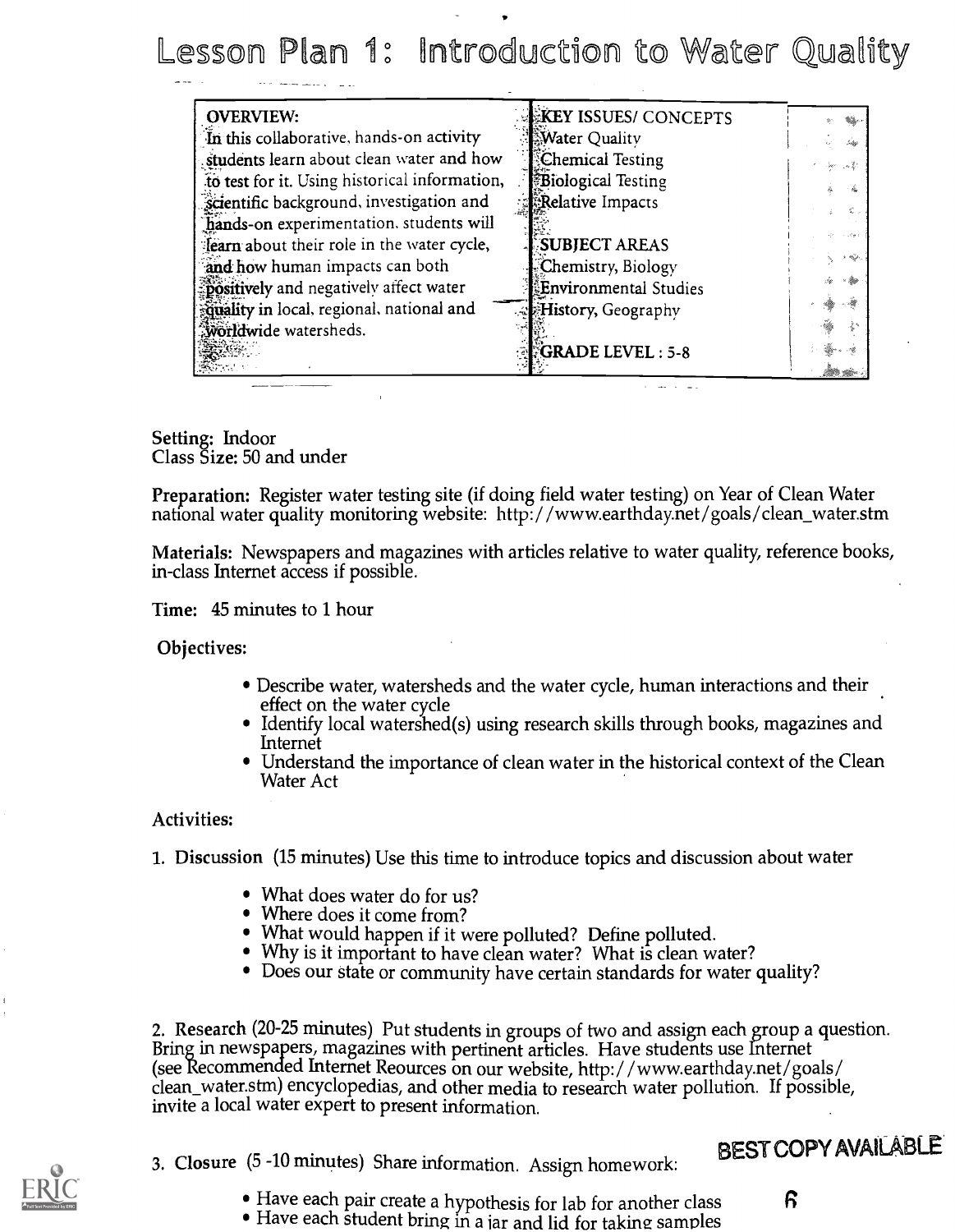Lesson Plan 1: Introduction to Water Quality

| <b>OVERVIEW:</b>                              | KEY ISSUES/ CONCEPTS        |                                                                                              |
|-----------------------------------------------|-----------------------------|----------------------------------------------------------------------------------------------|
| In this collaborative, hands-on activity      | Water Quality               | in                                                                                           |
| students learn about clean water and how      | Chemical Testing            | - 30<br>$\sim 100$                                                                           |
| to test for it. Using historical information, | <b>Biological Testing</b>   |                                                                                              |
| scientific background, investigation and      | Relative Impacts            |                                                                                              |
| hands-on experimentation. students will       |                             |                                                                                              |
| fearn about their role in the water cycle,    | SUBJECT AREAS               |                                                                                              |
| and how human impacts can both                | Chemistry, Biology          | 5 dip.,                                                                                      |
| positively and negatively affect water        | Environmental Studies       |                                                                                              |
| couality in local, regional, national and     | <b>EHistory</b> , Geography | $\label{eq:1} \lim_{n\to\infty}\frac{\partial\widetilde{g}}{\partial\widetilde{g}}\, .$<br>M |
| <b>Worldwide</b> watersheds.                  |                             |                                                                                              |
|                                               | $GRADE$ LEVEL : 5-8         |                                                                                              |
|                                               |                             |                                                                                              |

Setting: Indoor Class Size: 50 and under

Preparation: Register water testing site (if doing field water testing) on Year of Clean Water national water quality monitoring website: http: / /www.earthday.net /goals / clean\_water.stm

Materials: Newspapers and magazines with articles relative to water quality, reference books, in-class Internet access if possible.

Time: 45 minutes to 1 hour

Objectives:

- Describe water, watersheds and the water cycle, human interactions and their effect on the water cycle
- Identify local watershed(s) using research skills through books, magazines and Internet
- Understand the importance of clean water in the historical context of the Clean Water Act

Activities:

1. Discussion (15 minutes) Use this time to introduce topics and discussion about water

- What does water do for us?
- Where does it come from?
- What would happen if it were polluted? Define polluted.
- Why is it important to have clean water? What is clean water?
- Does our state or community have certain standards for water quality?

2. Research (20-25 minutes) Put students in groups of two and assign each group a question. Bring in newspapers, magazines with pertinent articles. Have students use Internet (see Recommended Internet Reources on our website, http: / /www.earthday.net /goals/ clean\_water.stm) encyclopedias, and other media to research water pollution. If possible, invite a local water expert to present information.

## BEST COPY AVAILABLE

- 
- 3. Closure (5 -10 minutes) Share information. Assign homework:
	- Have each pair create a hypothesis for lab for another class  $\boldsymbol{\beta}$
	- Have each student bring in a jar and lid for taking samples
-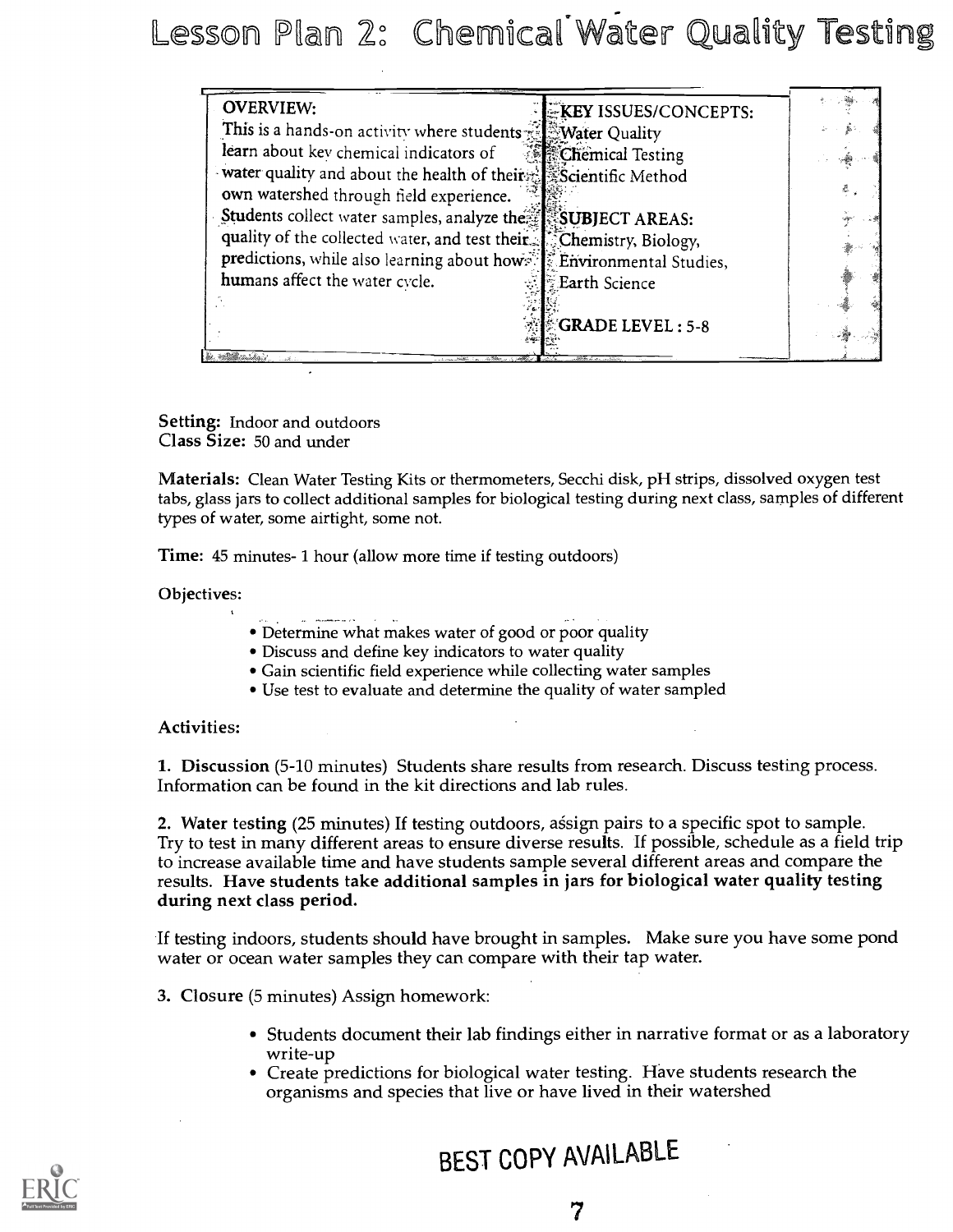Lesson Plan 2: Chemical Water Quality Testing

| <b>OVERVIEW:</b>                                                    | <b>KEY ISSUES/CONCEPTS:</b>             |  |
|---------------------------------------------------------------------|-----------------------------------------|--|
| This is a hands-on activity where students <b>Water Quality</b>     |                                         |  |
| learn about key chemical indicators of                              | <b><i><b>SEChemical Testing</b></i></b> |  |
| water quality and about the health of their Scientific Method       |                                         |  |
| own watershed through field experience.                             |                                         |  |
| Students collect water samples, analyze the SUBJECT AREAS:          |                                         |  |
| quality of the collected water, and test their Fchemistry, Biology, |                                         |  |
| predictions, while also learning about hows: Environmental Studies, |                                         |  |
| humans affect the water cycle.                                      | <b>Earth Science</b>                    |  |
|                                                                     |                                         |  |
|                                                                     | <b>GRADE LEVEL: 5-8</b>                 |  |
|                                                                     |                                         |  |

Setting: Indoor and outdoors Class Size: 50 and under

Materials: Clean Water Testing Kits or thermometers, Secchi disk, pH strips, dissolved oxygen test tabs, glass jars to collect additional samples for biological testing during next class, samples of different types of water, some airtight, some not.

Time: 45 minutes- 1 hour (allow more time if testing outdoors)

#### Objectives:

- Determine what makes water of good or poor quality
- Discuss and define key indicators to water quality
- Gain scientific field experience while collecting water samples
- Use test to evaluate and determine the quality of water sampled

#### Activities:

1. Discussion (5-10 minutes) Students share results from research. Discuss testing process. Information can be found in the kit directions and lab rules.

2. Water testing (25 minutes) If testing outdoors, assign pairs to a specific spot to sample. Try to test in many different areas to ensure diverse results. If possible, schedule as a field trip to increase available time and have students sample several different areas and compare the results. Have students take additional samples in jars for biological water quality testing during next class period.

If testing indoors, students should have brought in samples. Make sure you have some pond water or ocean water samples they can compare with their tap water.

- 3. Closure (5 minutes) Assign homework:
	- Students document their lab findings either in narrative format or as a laboratory write-up
	- Create predictions for biological water testing. Have students research the organisms and species that live or have lived in their watershed



# BEST COPY AVAILABLE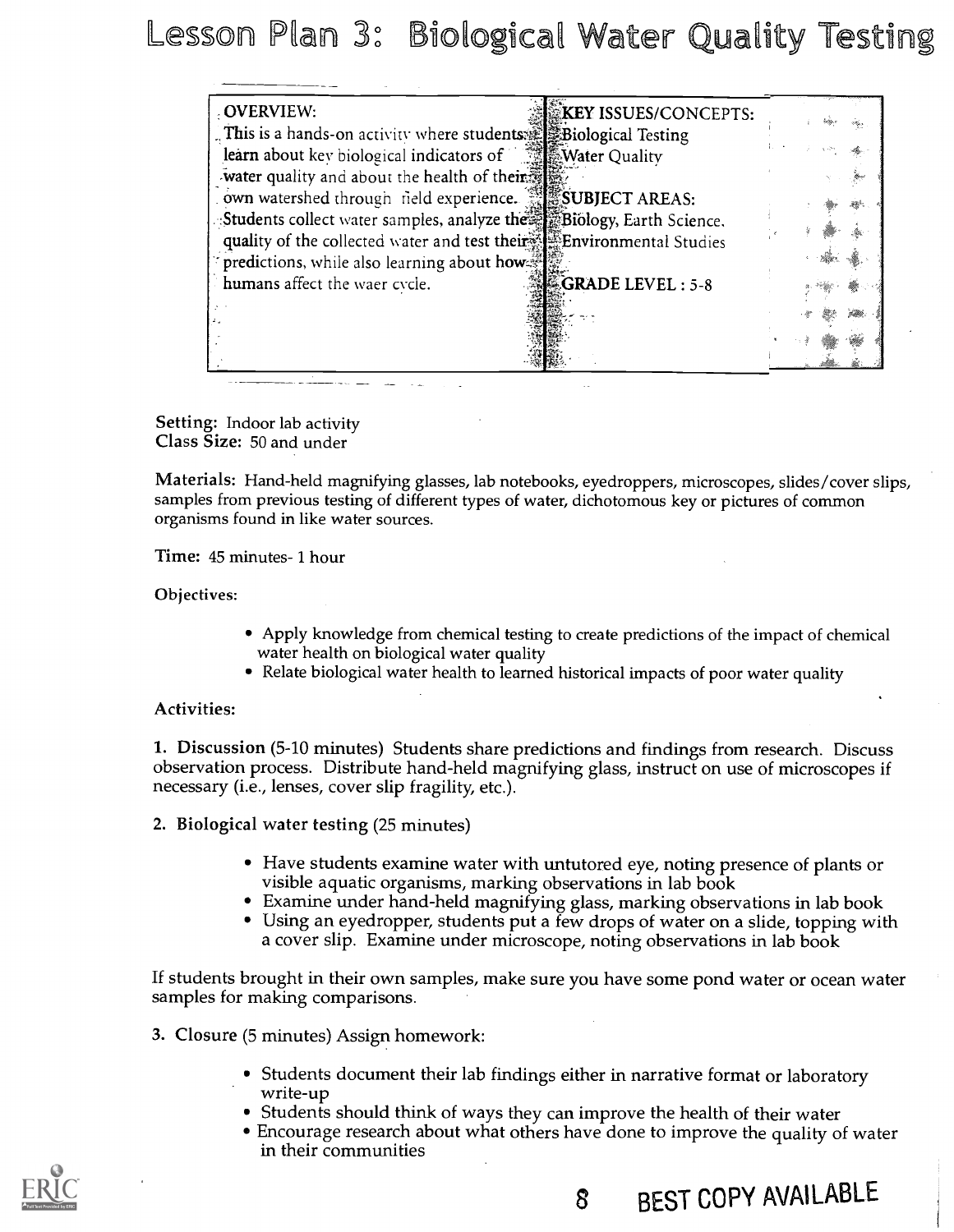esson Plan 3: Biological Water Quality Testing

| OVERVIEW:                                                               | <b>KEY ISSUES/CONCEPTS:</b> |  |
|-------------------------------------------------------------------------|-----------------------------|--|
| This is a hands-on activity where students Essiological Testing         |                             |  |
| learn about key biological indicators of <b>the State State Cuality</b> |                             |  |
| water quality and about the health of their                             |                             |  |
| own watershed through field experience. <b>SUBJECT AREAS:</b>           |                             |  |
| :Students collect water samples, analyze the Biology, Earth Science,    |                             |  |
| quality of the collected water and test their. Environmental Studies    |                             |  |
| $\in$ predictions, while also learning about how $\mathbb{Z}$           |                             |  |
| humans affect the waer cycle.                                           | <b>GRADE LEVEL : 5-8</b>    |  |
|                                                                         |                             |  |
|                                                                         |                             |  |
|                                                                         |                             |  |

Setting: Indoor lab activity Class Size: 50 and under

Materials: Hand-held magnifying glasses, lab notebooks, eyedroppers, microscopes, slides/cover slips, samples from previous testing of different types of water, dichotomous key or pictures of common organisms found in like water sources.

Time: 45 minutes- 1 hour

Objectives:

- Apply knowledge from chemical testing to create predictions of the impact of chemical water health on biological water quality
- Relate biological water health to learned historical impacts of poor water quality

#### Activities:

1. Discussion (5-10 minutes) Students share predictions and findings from research. Discuss observation process. Distribute hand-held magnifying glass, instruct on use of microscopes if necessary (i.e., lenses, cover slip fragility, etc.).

2. Biological water testing (25 minutes)

- Have students examine water with untutored eye, noting presence of plants or visible aquatic organisms, marking observations in lab book
- Examine under hand-held magnifying glass, marking observations in lab book
- Using an eyedropper, students put a few drops of water on a slide, topping with a cover slip. Examine under microscope, noting observations in lab book

If students brought in their own samples, make sure you have some pond water or ocean water samples for making comparisons.

- 3. Closure (5 minutes) Assign homework:
	- Students document their lab findings either in narrative format or laboratory write-up
	- Students should think of ways they can improve the health of their water
	- Encourage research about what others have done to improve the quality of water in their communities

8 BEST COPY AVAILABLE

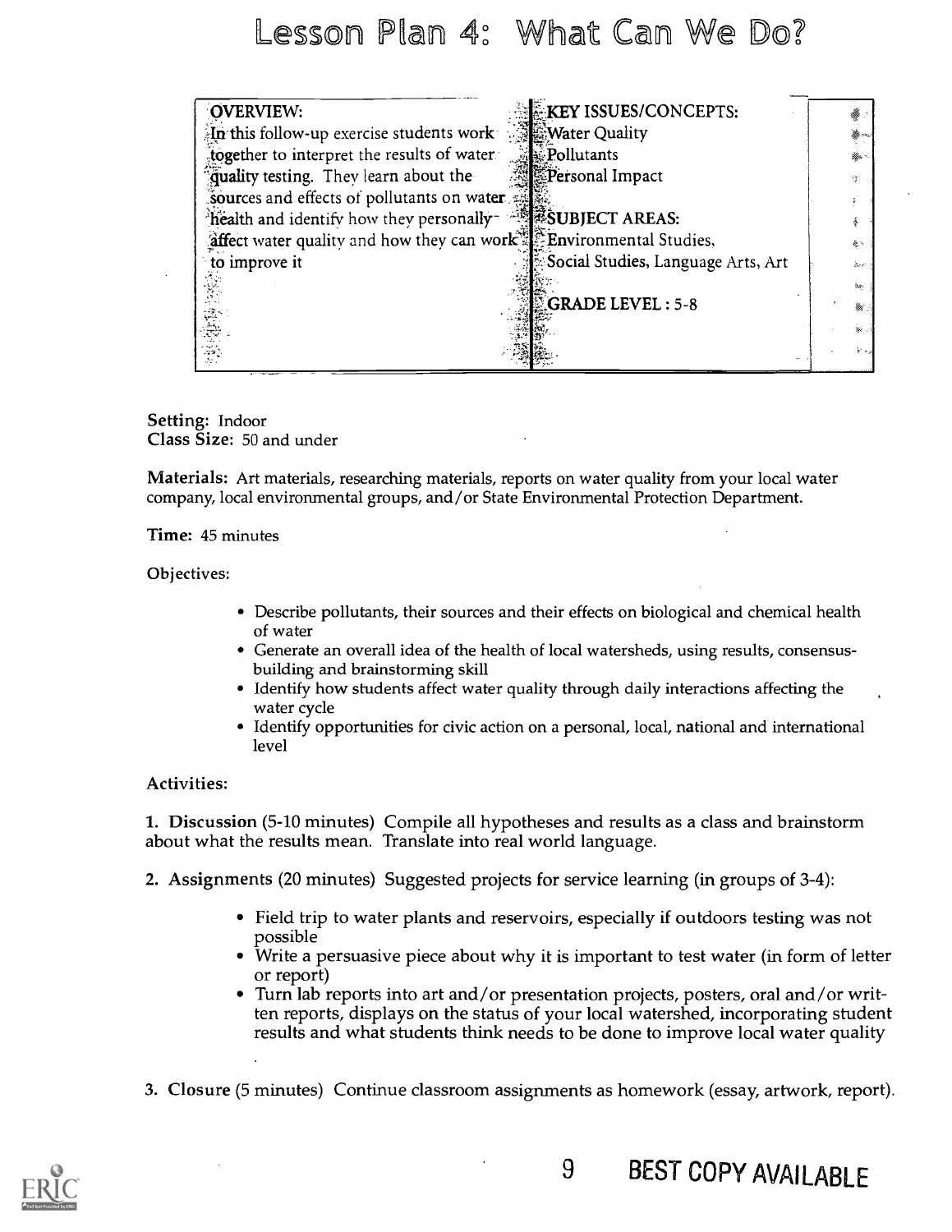## Lesson Plan 4: What Can We Do?

| OVERVIEW:                                                                       | <b>EXEY ISSUES/CONCEPTS:</b>       |            |
|---------------------------------------------------------------------------------|------------------------------------|------------|
| $\mathbb{E}$ this follow-up exercise students work                              | <b>Water Quality</b>               |            |
| together to interpret the results of water                                      | Pollutants                         |            |
| quality testing. They learn about the                                           | Personal Impact                    |            |
| Sources and effects of pollutants on water                                      |                                    |            |
| "health and identify how they personally and search AREAS:                      |                                    |            |
| affect water quality and how they can work <sup>35</sup> Environmental Studies, |                                    | 象し         |
| to improve it                                                                   | Social Studies, Language Arts, Art | .<br>See i |
|                                                                                 |                                    | ber 1      |
|                                                                                 | <b>GRADE LEVEL: 5-8</b>            | ₩.         |
|                                                                                 |                                    | .<br>پيغ   |
|                                                                                 |                                    | シャノ        |
|                                                                                 |                                    |            |

Setting: Indoor Class Size: 50 and under

Materials: Art materials, researching materials, reports on water quality from your local water company, local environmental groups, and/or State Environmental Protection Department.

Time: 45 minutes

Objectives:

- Describe pollutants, their sources and their effects on biological and chemical health of water
- Generate an overall idea of the health of local watersheds, using results, consensusbuilding and brainstorming skill
- Identify how students affect water quality through daily interactions affecting the water cycle
- Identify opportunities for civic action on a personal, local, national and international level

#### Activities:

1. Discussion (5-10 minutes) Compile all hypotheses and results as a class and brainstorm about what the results mean. Translate into real world language.

- 2. Assignments (20 minutes) Suggested projects for service learning (in groups of 3-4):
	- Field trip to water plants and reservoirs, especially if outdoors testing was not possible
	- Write a persuasive piece about why it is important to test water (in form of letter or report)
	- Turn lab reports into art and/or presentation projects, posters, oral and/or written reports, displays on the status of your local watershed, incorporating student results and what students think needs to be done to improve local water quality
- 3. Closure (5 minutes) Continue classroom assignments as homework (essay, artwork, report).

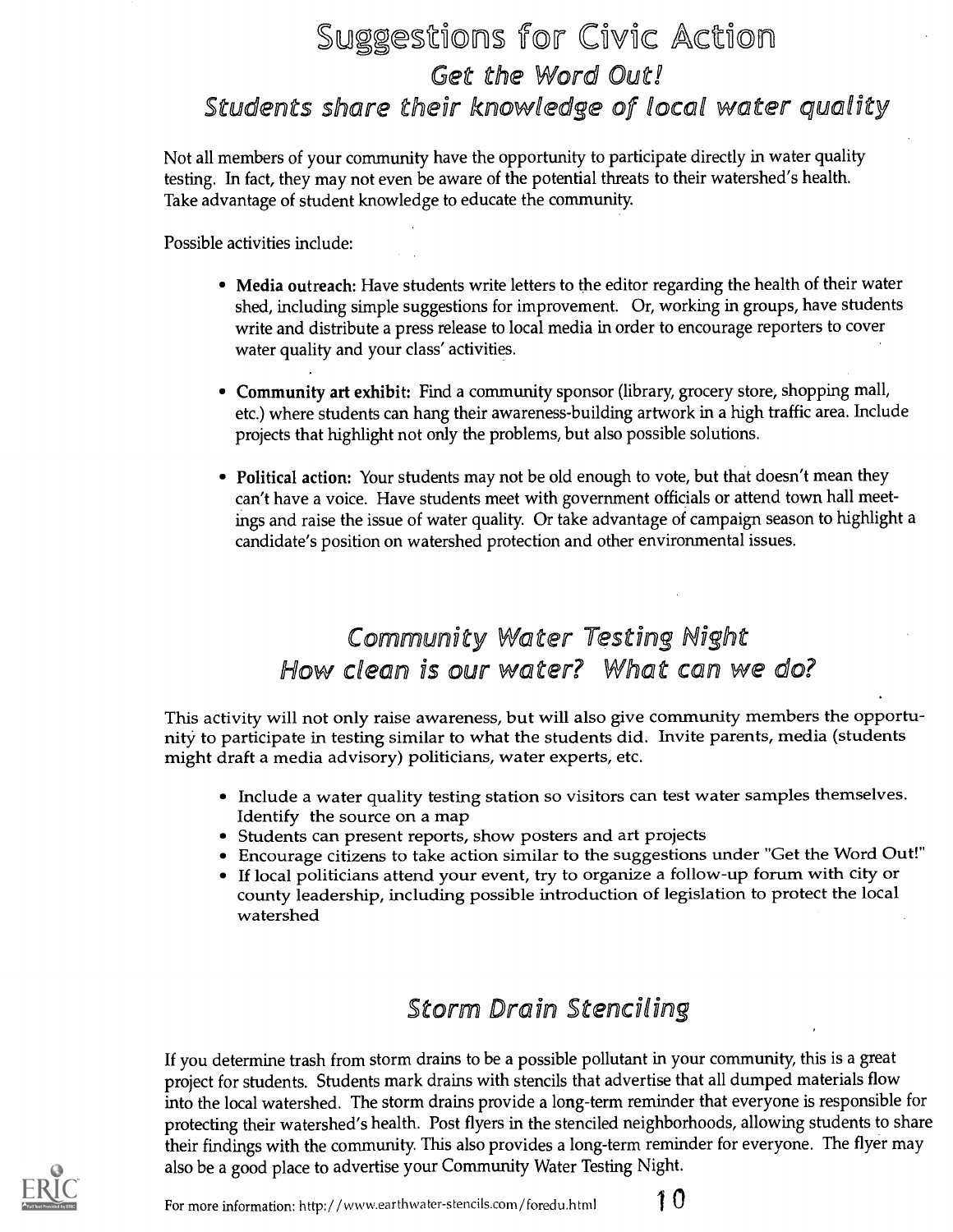## Suggestions for Civic action Get the Word Out! Students share their knowledge of local water quality

Not all members of your community have the opportunity to participate directly in water quality testing. In fact, they may not even be aware of the potential threats to their watershed's health. Take advantage of student knowledge to educate the community.

Possible activities include:

- Media outreach: Have students write letters to the editor regarding the health of their water shed, including simple suggestions for improvement. Or, working in groups, have students write and distribute a press release to local media in order to encourage reporters to cover water quality and your class' activities.
- Community art exhibit: Find a community sponsor (library, grocery store, shopping mall, etc.) where students can hang their awareness-building artwork in a high traffic area. Include projects that highlight not only the problems, but also possible solutions.
- Political action: Your students may not be old enough to vote, but that doesn't mean they can't have a voice. Have students meet with government officials or attend town hall meetings and raise the issue of water quality. Or take advantage of campaign season to highlight a candidate's position on watershed protection and other environmental issues.

### Community Water Testing Night How clean is our water? What can we do?

This activity will not only raise awareness, but will also give community members the opportunity to participate in testing similar to what the students did. Invite parents, media (students might draft a media advisory) politicians, water experts, etc.

- Include a water quality testing station so visitors can test water samples themselves. Identify the source on a map
- Students can present reports, show posters and art projects
- Encourage citizens to take action similar to the suggestions under "Get the Word Out!"
- If local politicians attend your event, try to organize a follow-up forum with city or county leadership, including possible introduction of legislation to protect the local watershed

## Storm Drain Stenciling

If you determine trash from storm drains to be a possible pollutant in your community, this is a great project for students. Students mark drains with stencils that advertise that all dumped materials flow into the local watershed. The storm drains provide a long-term reminder that everyone is responsible for protecting their watershed's health. Post flyers in the stenciled neighborhoods, allowing students to share their findings with the community. This also provides a long-term reminder for everyone. The flyer may also be a good place to advertise your Community Water Testing Night.



For more information: http://www.earthwater-stencils.com/foredu.html  $10$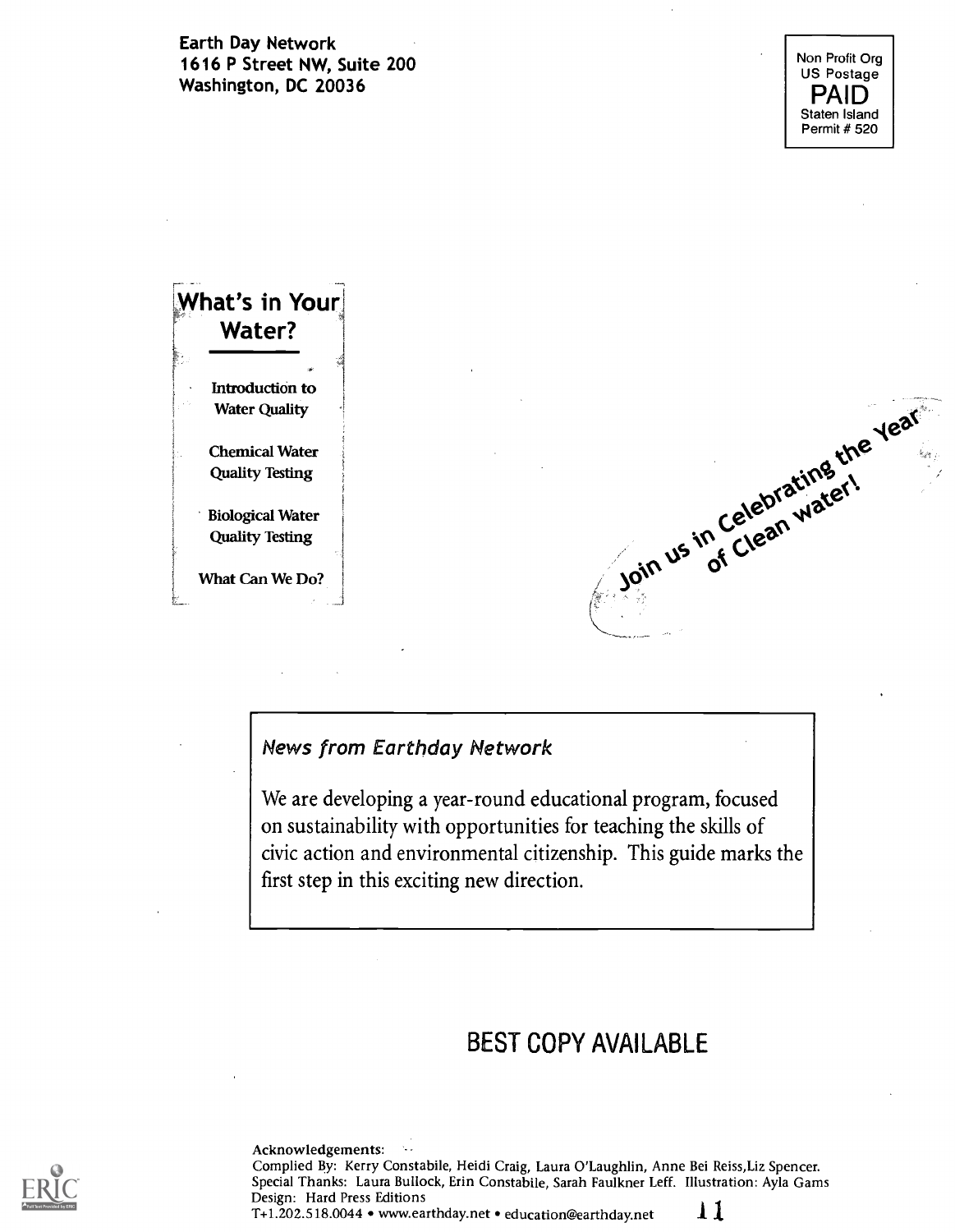Earth Day Network 1616 P Street NW, Suite 200 Washington, DC 20036



| What's in Your          |                                 |
|-------------------------|---------------------------------|
| Water?                  |                                 |
|                         |                                 |
| Introduction to         |                                 |
| <b>Water Quality</b>    |                                 |
| <b>Chemical Water</b>   | Join us in Celebrating the year |
|                         |                                 |
| <b>Quality Testing</b>  |                                 |
| <b>Biological Water</b> |                                 |
| <b>Quality Testing</b>  |                                 |
|                         |                                 |
| What Can We Do?         |                                 |
|                         |                                 |
|                         |                                 |

### News from Earthday Network

We are developing a year-round educational program, focused on sustainability with opportunities for teaching the skills of civic action and environmental citizenship. This guide marks the first step in this exciting new direction.

### BEST COPY AVAILABLE

Acknowledgements: Complied By: Kerry Constabile, Heidi Craig, Laura O'Laughlin, Anne Bei Reiss,Liz Spencer. Special Thanks: Laura Bullock, Erin Constabile, Sarah Faulkner Leff. Illustration: Ayla Gams Design: Hard Press Editions

T+1.202.518.0044 • www.earthday.net • education@earthday.net  $11$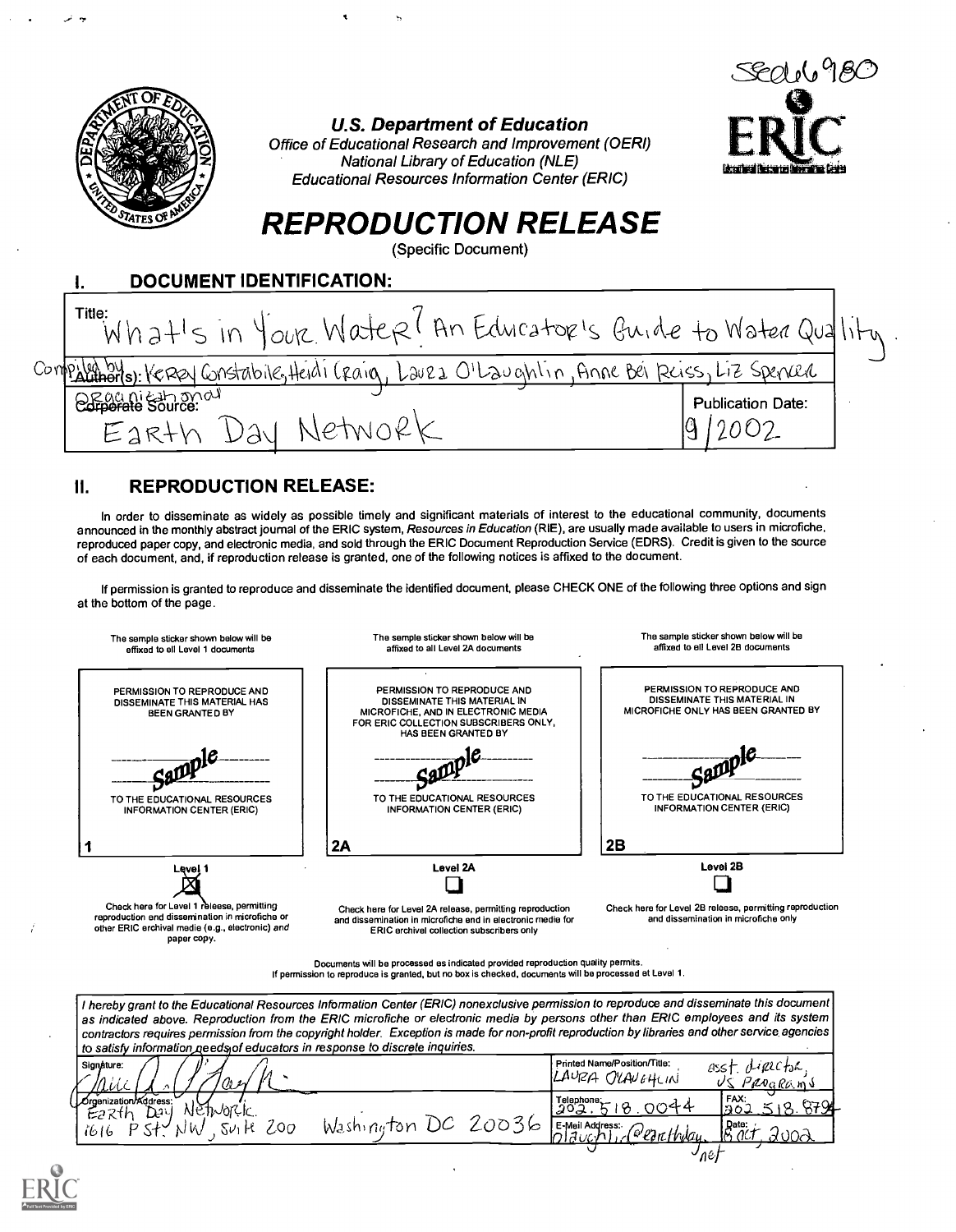

U.S. Department of Education

Office of Educational Research and Improvement (OERI) National Library of Education (NLE) Educational Resources Information Center (ERIC)



## REPRODUCTION RELEASE

(Specific Document)

| <b>DOCUMENT IDENTIFICATION:</b>                                                           |                          |
|-------------------------------------------------------------------------------------------|--------------------------|
| Title:<br>What's in Your Water (An Educator's Guide to Water Quality                      |                          |
| Compiliants: KEREY Gristabile, Heidi (Raig, Lauza O'Laughtin, Anne Bei Reiss, Liz Spenced |                          |
| OF ganicational                                                                           | <b>Publication Date:</b> |

#### 11. REPRODUCTION RELEASE:

In order to disseminate as widely as possible timely and significant materials of interest to the educational community, documents announced in the monthly abstract journal of the ERIC system, Resources in Education (RIE), are usually made available to users in microfiche, reproduced paper copy, and electronic media, and sold through the ERIC Document Reproduction Service (EDRS). Credit is given to the source of each document, and, if reproduction release is granted, one of the following notices is affixed to the document.

If permission is granted to reproduce and disseminate the identified document, please CHECK ONE of the following three options and sign at the bottom of the page.



If permission to reproduce is granted, but no box is checked, documents will be processed at Level 1.

I hereby grant to the Educational Resources Information Center (ERIC) nonexclusive permission to reproduce and disseminate this document as indicated above. Reproduction from the ERIC microfiche or electronic media by persons other than ERIC employees and its system contractors requires permission from the copyright holder. Exception is made for non-proft reproduction by libraries and other service. agencies to satisfy information geed y of educators in response to discrete inquiries.

| H).<br>Signature:<br>in '<br>w<br>πινις<br>œ.    |            |                                                     | Printed Name/Position/Title:<br>LAURA OLAVEHLIN | $-\mu$ erctoc,<br>asst<br>US PROGRAMS |  |
|--------------------------------------------------|------------|-----------------------------------------------------|-------------------------------------------------|---------------------------------------|--|
| Orgenization/Address:<br>NETWORK<br>Day<br>Eazth |            | Telephone:<br>202.5                                 | <u>ግግተት</u>                                     | FAX:<br>8794                          |  |
| Zoo<br>Ηt<br>$Sv_1$<br>ロマイン<br>N W<br>1616       | Washington | 20036<br><b>I E-Meil Address:</b><br><b>Inlauct</b> | rearthlay.                                      | $R_{\alpha'}^{\text{ate}}$<br>∽nel    |  |